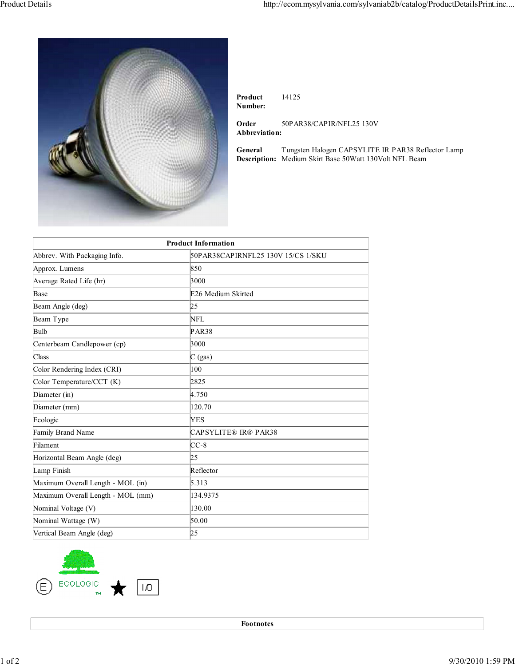

**Product Number:** 14125

**Order Abbreviation:** 50PAR38/CAPIR/NFL25 130V

**General Description:** Tungsten Halogen CAPSYLITE IR PAR38 Reflector Lamp Medium Skirt Base 50Watt 130Volt NFL Beam

| <b>Product Information</b>        |                                    |
|-----------------------------------|------------------------------------|
| Abbrev. With Packaging Info.      | 50PAR38CAPIRNFL25 130V 15/CS 1/SKU |
| Approx. Lumens                    | 850                                |
| Average Rated Life (hr)           | 3000                               |
| Base                              | E26 Medium Skirted                 |
| Beam Angle (deg)                  | þ5                                 |
| Beam Type                         | NFL                                |
| Bulb                              | PAR38                              |
| Centerbeam Candlepower (cp)       | 3000                               |
| Class                             | $C$ (gas)                          |
| Color Rendering Index (CRI)       | 100                                |
| Color Temperature/CCT (K)         | 2825                               |
| Diameter (in)                     | 4.750                              |
| Diameter (mm)                     | 120.70                             |
| Ecologic                          | YES                                |
| Family Brand Name                 | <b>CAPSYLITE® IR® PAR38</b>        |
| Filament                          | CC-8                               |
| Horizontal Beam Angle (deg)       | 25                                 |
| Lamp Finish                       | Reflector                          |
| Maximum Overall Length - MOL (in) | 5.313                              |
| Maximum Overall Length - MOL (mm) | 134.9375                           |
| Nominal Voltage (V)               | 130.00                             |
| Nominal Wattage (W)               | 50.00                              |
| Vertical Beam Angle (deg)         | þ5                                 |



**Footnotes**